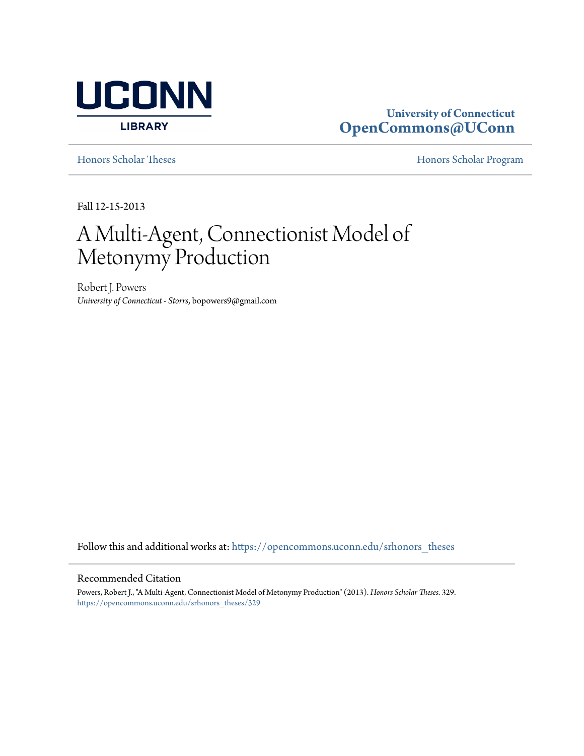

# **University of Connecticut [OpenCommons@UConn](https://opencommons.uconn.edu?utm_source=opencommons.uconn.edu%2Fsrhonors_theses%2F329&utm_medium=PDF&utm_campaign=PDFCoverPages)**

[Honors Scholar Theses](https://opencommons.uconn.edu/srhonors_theses?utm_source=opencommons.uconn.edu%2Fsrhonors_theses%2F329&utm_medium=PDF&utm_campaign=PDFCoverPages) [Honors Scholar Program](https://opencommons.uconn.edu/srhonors?utm_source=opencommons.uconn.edu%2Fsrhonors_theses%2F329&utm_medium=PDF&utm_campaign=PDFCoverPages)

Fall 12-15-2013

# A Multi-Agent, Connectionist Model of Metonymy Production

Robert J. Powers *University of Connecticut - Storrs*, bopowers9@gmail.com

Follow this and additional works at: [https://opencommons.uconn.edu/srhonors\\_theses](https://opencommons.uconn.edu/srhonors_theses?utm_source=opencommons.uconn.edu%2Fsrhonors_theses%2F329&utm_medium=PDF&utm_campaign=PDFCoverPages)

#### Recommended Citation

Powers, Robert J., "A Multi-Agent, Connectionist Model of Metonymy Production" (2013). *Honors Scholar Theses*. 329. [https://opencommons.uconn.edu/srhonors\\_theses/329](https://opencommons.uconn.edu/srhonors_theses/329?utm_source=opencommons.uconn.edu%2Fsrhonors_theses%2F329&utm_medium=PDF&utm_campaign=PDFCoverPages)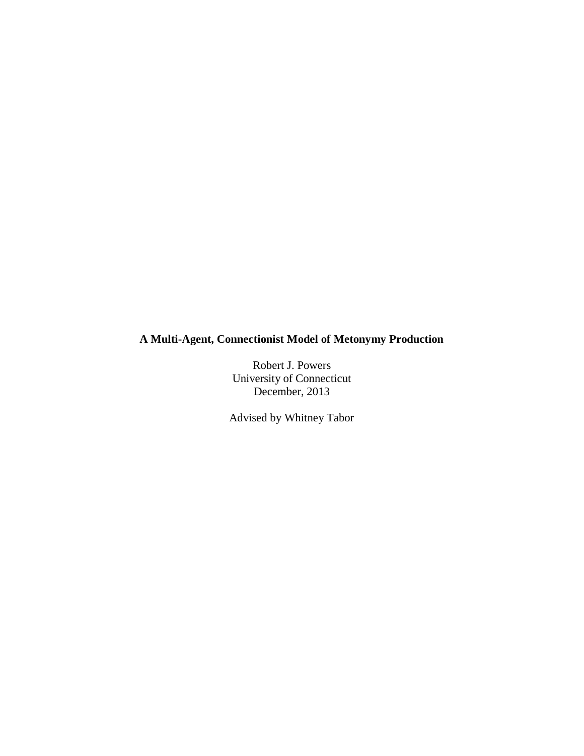## **A Multi-Agent, Connectionist Model of Metonymy Production**

Robert J. Powers University of Connecticut December, 2013

Advised by Whitney Tabor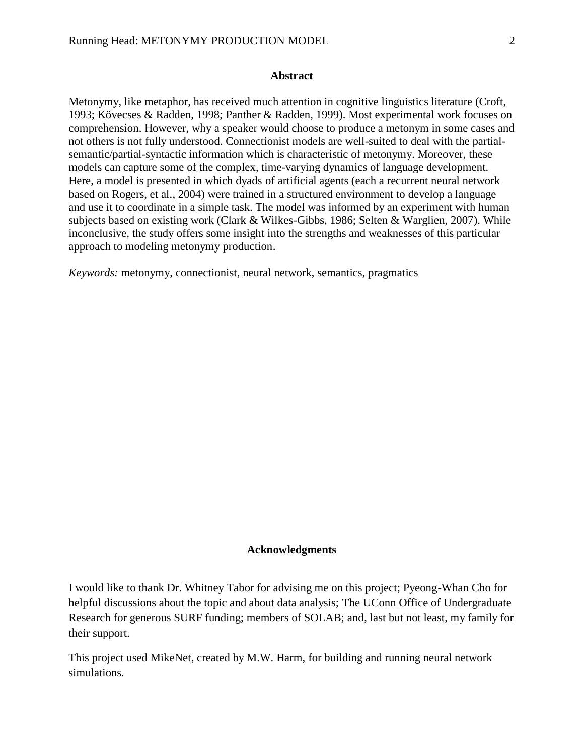## **Abstract**

Metonymy, like metaphor, has received much attention in cognitive linguistics literature (Croft, 1993; Kövecses & Radden, 1998; Panther & Radden, 1999). Most experimental work focuses on comprehension. However, why a speaker would choose to produce a metonym in some cases and not others is not fully understood. Connectionist models are well-suited to deal with the partialsemantic/partial-syntactic information which is characteristic of metonymy. Moreover, these models can capture some of the complex, time-varying dynamics of language development. Here, a model is presented in which dyads of artificial agents (each a recurrent neural network based on Rogers, et al., 2004) were trained in a structured environment to develop a language and use it to coordinate in a simple task. The model was informed by an experiment with human subjects based on existing work (Clark & Wilkes-Gibbs, 1986; Selten & Warglien, 2007). While inconclusive, the study offers some insight into the strengths and weaknesses of this particular approach to modeling metonymy production.

*Keywords:* metonymy, connectionist, neural network, semantics, pragmatics

## **Acknowledgments**

I would like to thank Dr. Whitney Tabor for advising me on this project; Pyeong-Whan Cho for helpful discussions about the topic and about data analysis; The UConn Office of Undergraduate Research for generous SURF funding; members of SOLAB; and, last but not least, my family for their support.

This project used MikeNet, created by M.W. Harm, for building and running neural network simulations.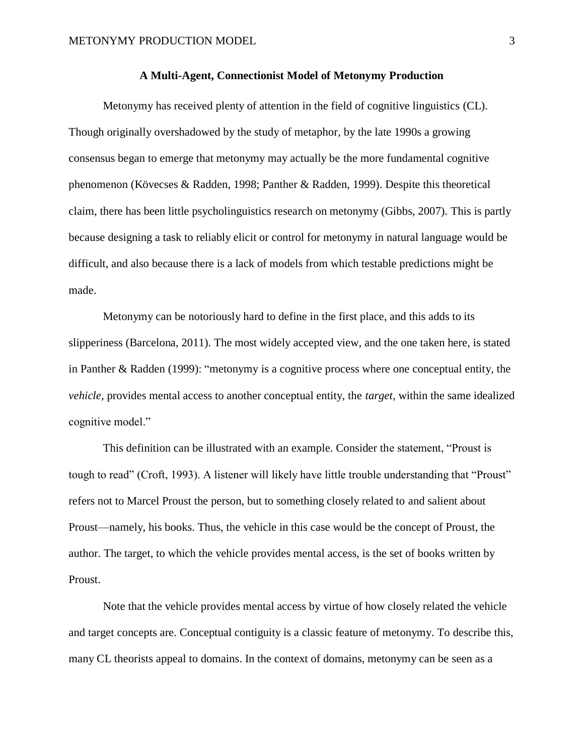## **A Multi-Agent, Connectionist Model of Metonymy Production**

Metonymy has received plenty of attention in the field of cognitive linguistics (CL). Though originally overshadowed by the study of metaphor, by the late 1990s a growing consensus began to emerge that metonymy may actually be the more fundamental cognitive phenomenon (Kövecses & Radden, 1998; Panther & Radden, 1999). Despite this theoretical claim, there has been little psycholinguistics research on metonymy (Gibbs, 2007). This is partly because designing a task to reliably elicit or control for metonymy in natural language would be difficult, and also because there is a lack of models from which testable predictions might be made.

Metonymy can be notoriously hard to define in the first place, and this adds to its slipperiness (Barcelona, 2011). The most widely accepted view, and the one taken here, is stated in Panther & Radden (1999): "metonymy is a cognitive process where one conceptual entity, the *vehicle*, provides mental access to another conceptual entity, the *target*, within the same idealized cognitive model."

This definition can be illustrated with an example. Consider the statement, "Proust is tough to read" (Croft, 1993). A listener will likely have little trouble understanding that "Proust" refers not to Marcel Proust the person, but to something closely related to and salient about Proust—namely, his books. Thus, the vehicle in this case would be the concept of Proust, the author. The target, to which the vehicle provides mental access, is the set of books written by Proust.

Note that the vehicle provides mental access by virtue of how closely related the vehicle and target concepts are. Conceptual contiguity is a classic feature of metonymy. To describe this, many CL theorists appeal to domains. In the context of domains, metonymy can be seen as a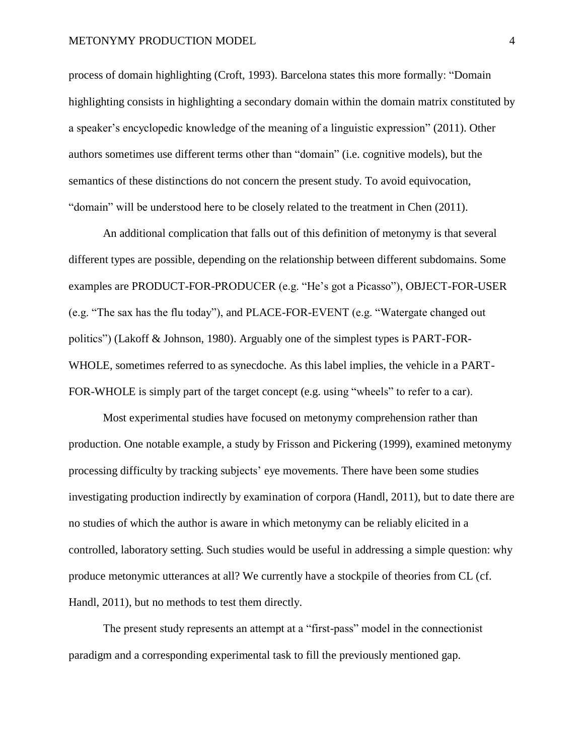process of domain highlighting (Croft, 1993). Barcelona states this more formally: "Domain highlighting consists in highlighting a secondary domain within the domain matrix constituted by a speaker's encyclopedic knowledge of the meaning of a linguistic expression" (2011). Other authors sometimes use different terms other than "domain" (i.e. cognitive models), but the semantics of these distinctions do not concern the present study. To avoid equivocation, "domain" will be understood here to be closely related to the treatment in Chen (2011).

An additional complication that falls out of this definition of metonymy is that several different types are possible, depending on the relationship between different subdomains. Some examples are PRODUCT-FOR-PRODUCER (e.g. "He's got a Picasso"), OBJECT-FOR-USER (e.g. "The sax has the flu today"), and PLACE-FOR-EVENT (e.g. "Watergate changed out politics") (Lakoff & Johnson, 1980). Arguably one of the simplest types is PART-FOR-WHOLE, sometimes referred to as synecdoche. As this label implies, the vehicle in a PART-FOR-WHOLE is simply part of the target concept (e.g. using "wheels" to refer to a car).

Most experimental studies have focused on metonymy comprehension rather than production. One notable example, a study by Frisson and Pickering (1999), examined metonymy processing difficulty by tracking subjects' eye movements. There have been some studies investigating production indirectly by examination of corpora (Handl, 2011), but to date there are no studies of which the author is aware in which metonymy can be reliably elicited in a controlled, laboratory setting. Such studies would be useful in addressing a simple question: why produce metonymic utterances at all? We currently have a stockpile of theories from CL (cf. Handl, 2011), but no methods to test them directly.

The present study represents an attempt at a "first-pass" model in the connectionist paradigm and a corresponding experimental task to fill the previously mentioned gap.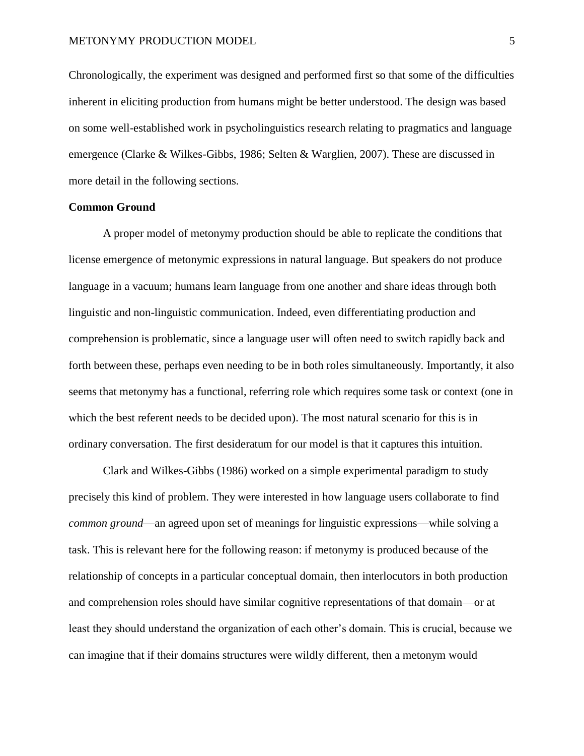Chronologically, the experiment was designed and performed first so that some of the difficulties inherent in eliciting production from humans might be better understood. The design was based on some well-established work in psycholinguistics research relating to pragmatics and language emergence (Clarke & Wilkes-Gibbs, 1986; Selten & Warglien, 2007). These are discussed in more detail in the following sections.

## **Common Ground**

A proper model of metonymy production should be able to replicate the conditions that license emergence of metonymic expressions in natural language. But speakers do not produce language in a vacuum; humans learn language from one another and share ideas through both linguistic and non-linguistic communication. Indeed, even differentiating production and comprehension is problematic, since a language user will often need to switch rapidly back and forth between these, perhaps even needing to be in both roles simultaneously. Importantly, it also seems that metonymy has a functional, referring role which requires some task or context (one in which the best referent needs to be decided upon). The most natural scenario for this is in ordinary conversation. The first desideratum for our model is that it captures this intuition.

Clark and Wilkes-Gibbs (1986) worked on a simple experimental paradigm to study precisely this kind of problem. They were interested in how language users collaborate to find *common ground*—an agreed upon set of meanings for linguistic expressions—while solving a task. This is relevant here for the following reason: if metonymy is produced because of the relationship of concepts in a particular conceptual domain, then interlocutors in both production and comprehension roles should have similar cognitive representations of that domain—or at least they should understand the organization of each other's domain. This is crucial, because we can imagine that if their domains structures were wildly different, then a metonym would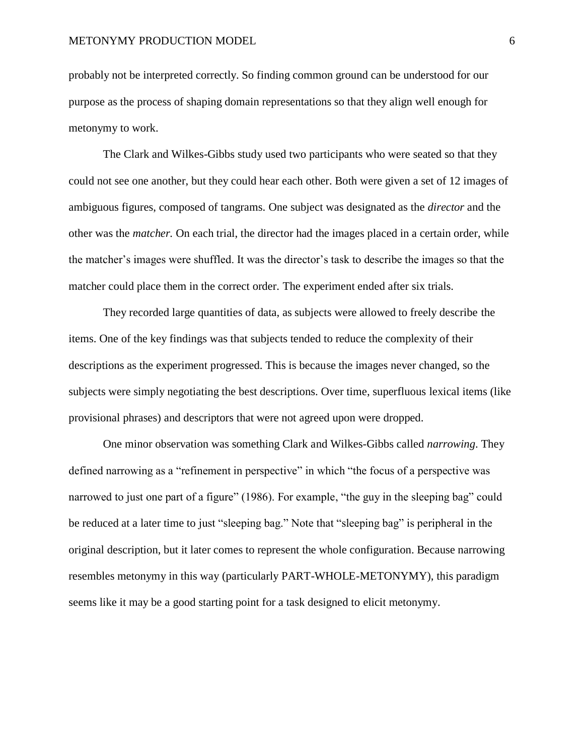probably not be interpreted correctly. So finding common ground can be understood for our purpose as the process of shaping domain representations so that they align well enough for metonymy to work.

The Clark and Wilkes-Gibbs study used two participants who were seated so that they could not see one another, but they could hear each other. Both were given a set of 12 images of ambiguous figures, composed of tangrams. One subject was designated as the *director* and the other was the *matcher.* On each trial, the director had the images placed in a certain order, while the matcher's images were shuffled. It was the director's task to describe the images so that the matcher could place them in the correct order. The experiment ended after six trials.

They recorded large quantities of data, as subjects were allowed to freely describe the items. One of the key findings was that subjects tended to reduce the complexity of their descriptions as the experiment progressed. This is because the images never changed, so the subjects were simply negotiating the best descriptions. Over time, superfluous lexical items (like provisional phrases) and descriptors that were not agreed upon were dropped.

One minor observation was something Clark and Wilkes-Gibbs called *narrowing*. They defined narrowing as a "refinement in perspective" in which "the focus of a perspective was narrowed to just one part of a figure" (1986). For example, "the guy in the sleeping bag" could be reduced at a later time to just "sleeping bag." Note that "sleeping bag" is peripheral in the original description, but it later comes to represent the whole configuration. Because narrowing resembles metonymy in this way (particularly PART-WHOLE-METONYMY), this paradigm seems like it may be a good starting point for a task designed to elicit metonymy.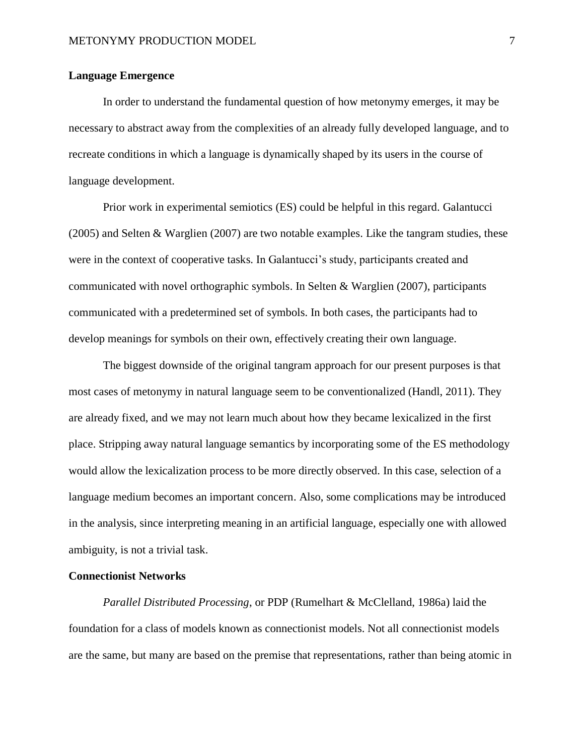## **Language Emergence**

In order to understand the fundamental question of how metonymy emerges, it may be necessary to abstract away from the complexities of an already fully developed language, and to recreate conditions in which a language is dynamically shaped by its users in the course of language development.

Prior work in experimental semiotics (ES) could be helpful in this regard. Galantucci  $(2005)$  and Selten & Warglien  $(2007)$  are two notable examples. Like the tangram studies, these were in the context of cooperative tasks. In Galantucci's study, participants created and communicated with novel orthographic symbols. In Selten & Warglien (2007), participants communicated with a predetermined set of symbols. In both cases, the participants had to develop meanings for symbols on their own, effectively creating their own language.

The biggest downside of the original tangram approach for our present purposes is that most cases of metonymy in natural language seem to be conventionalized (Handl, 2011). They are already fixed, and we may not learn much about how they became lexicalized in the first place. Stripping away natural language semantics by incorporating some of the ES methodology would allow the lexicalization process to be more directly observed. In this case, selection of a language medium becomes an important concern. Also, some complications may be introduced in the analysis, since interpreting meaning in an artificial language, especially one with allowed ambiguity, is not a trivial task.

## **Connectionist Networks**

*Parallel Distributed Processing*, or PDP (Rumelhart & McClelland, 1986a) laid the foundation for a class of models known as connectionist models. Not all connectionist models are the same, but many are based on the premise that representations, rather than being atomic in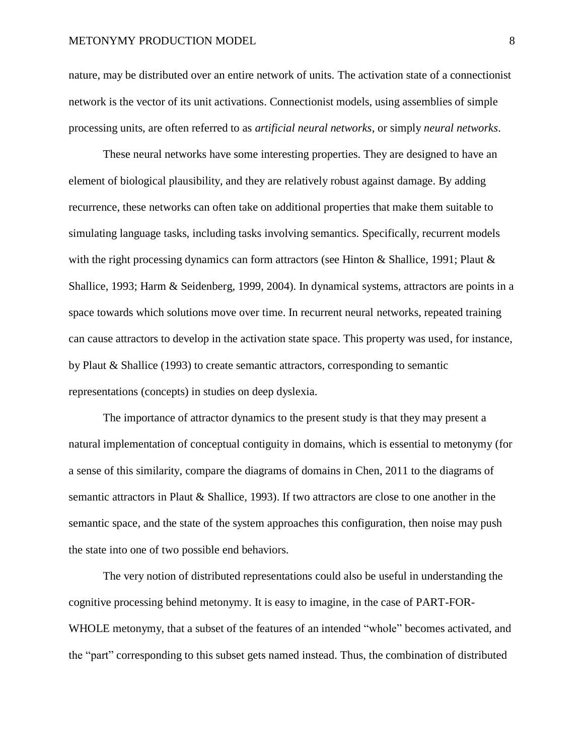nature, may be distributed over an entire network of units. The activation state of a connectionist network is the vector of its unit activations. Connectionist models, using assemblies of simple processing units, are often referred to as *artificial neural networks*, or simply *neural networks*.

These neural networks have some interesting properties. They are designed to have an element of biological plausibility, and they are relatively robust against damage. By adding recurrence, these networks can often take on additional properties that make them suitable to simulating language tasks, including tasks involving semantics. Specifically, recurrent models with the right processing dynamics can form attractors (see Hinton & Shallice, 1991; Plaut  $\&$ Shallice, 1993; Harm & Seidenberg, 1999, 2004). In dynamical systems, attractors are points in a space towards which solutions move over time. In recurrent neural networks, repeated training can cause attractors to develop in the activation state space. This property was used, for instance, by Plaut & Shallice (1993) to create semantic attractors, corresponding to semantic representations (concepts) in studies on deep dyslexia.

The importance of attractor dynamics to the present study is that they may present a natural implementation of conceptual contiguity in domains, which is essential to metonymy (for a sense of this similarity, compare the diagrams of domains in Chen, 2011 to the diagrams of semantic attractors in Plaut & Shallice, 1993). If two attractors are close to one another in the semantic space, and the state of the system approaches this configuration, then noise may push the state into one of two possible end behaviors.

The very notion of distributed representations could also be useful in understanding the cognitive processing behind metonymy. It is easy to imagine, in the case of PART-FOR-WHOLE metonymy, that a subset of the features of an intended "whole" becomes activated, and the "part" corresponding to this subset gets named instead. Thus, the combination of distributed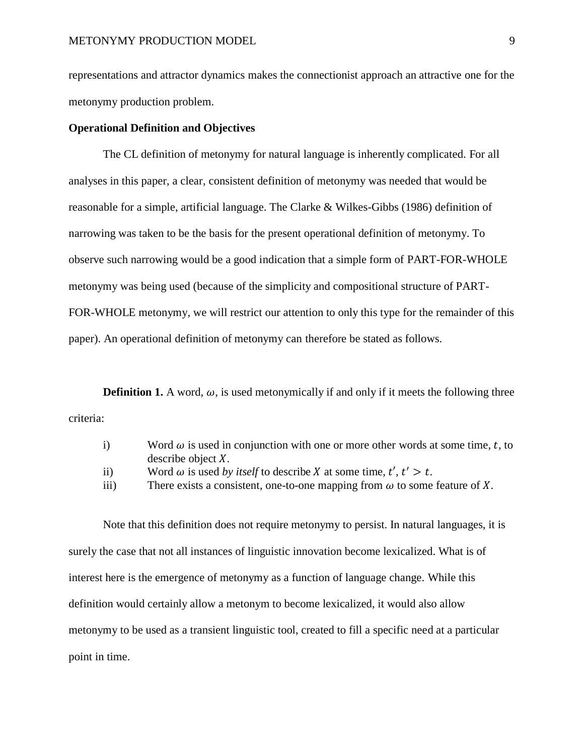representations and attractor dynamics makes the connectionist approach an attractive one for the metonymy production problem.

## **Operational Definition and Objectives**

The CL definition of metonymy for natural language is inherently complicated. For all analyses in this paper, a clear, consistent definition of metonymy was needed that would be reasonable for a simple, artificial language. The Clarke & Wilkes-Gibbs (1986) definition of narrowing was taken to be the basis for the present operational definition of metonymy. To observe such narrowing would be a good indication that a simple form of PART-FOR-WHOLE metonymy was being used (because of the simplicity and compositional structure of PART-FOR-WHOLE metonymy, we will restrict our attention to only this type for the remainder of this paper). An operational definition of metonymy can therefore be stated as follows.

**Definition 1.** A word,  $\omega$ , is used metonymically if and only if it meets the following three criteria:

|  | Word $\omega$ is used in conjunction with one or more other words at some time, t, to                                                                                                    |
|--|------------------------------------------------------------------------------------------------------------------------------------------------------------------------------------------|
|  | describe object $X$ .                                                                                                                                                                    |
|  | $\blacksquare$ . $\blacksquare$ . $\blacksquare$ . $\blacksquare$ . $\blacksquare$ . $\blacksquare$ . $\blacksquare$ . $\blacksquare$ . $\blacksquare$ . $\blacksquare$ . $\blacksquare$ |

- ii) Word  $\omega$  is used *by itself* to describe X at some time,  $t', t' > t$ .
- iii) There exists a consistent, one-to-one mapping from  $\omega$  to some feature of X.

Note that this definition does not require metonymy to persist. In natural languages, it is surely the case that not all instances of linguistic innovation become lexicalized. What is of interest here is the emergence of metonymy as a function of language change. While this definition would certainly allow a metonym to become lexicalized, it would also allow metonymy to be used as a transient linguistic tool, created to fill a specific need at a particular point in time.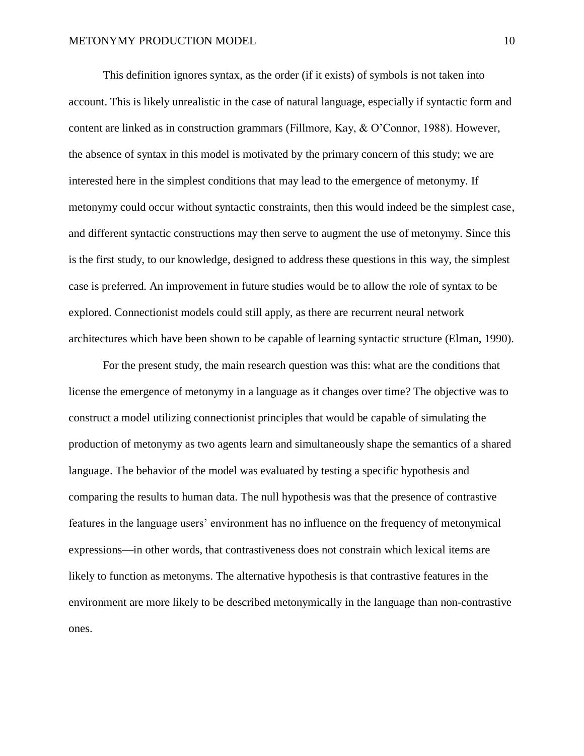This definition ignores syntax, as the order (if it exists) of symbols is not taken into account. This is likely unrealistic in the case of natural language, especially if syntactic form and content are linked as in construction grammars (Fillmore, Kay, & O'Connor, 1988). However, the absence of syntax in this model is motivated by the primary concern of this study; we are interested here in the simplest conditions that may lead to the emergence of metonymy. If metonymy could occur without syntactic constraints, then this would indeed be the simplest case, and different syntactic constructions may then serve to augment the use of metonymy. Since this is the first study, to our knowledge, designed to address these questions in this way, the simplest case is preferred. An improvement in future studies would be to allow the role of syntax to be explored. Connectionist models could still apply, as there are recurrent neural network architectures which have been shown to be capable of learning syntactic structure (Elman, 1990).

For the present study, the main research question was this: what are the conditions that license the emergence of metonymy in a language as it changes over time? The objective was to construct a model utilizing connectionist principles that would be capable of simulating the production of metonymy as two agents learn and simultaneously shape the semantics of a shared language. The behavior of the model was evaluated by testing a specific hypothesis and comparing the results to human data. The null hypothesis was that the presence of contrastive features in the language users' environment has no influence on the frequency of metonymical expressions—in other words, that contrastiveness does not constrain which lexical items are likely to function as metonyms. The alternative hypothesis is that contrastive features in the environment are more likely to be described metonymically in the language than non-contrastive ones.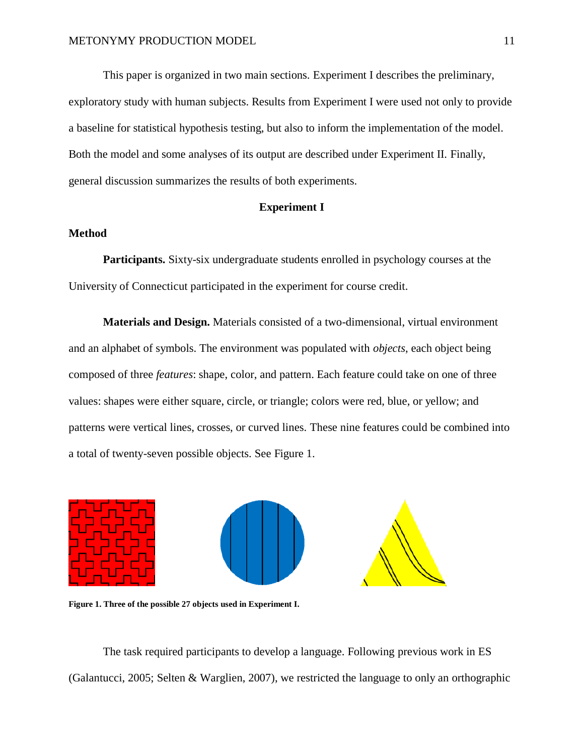This paper is organized in two main sections. Experiment I describes the preliminary, exploratory study with human subjects. Results from Experiment I were used not only to provide a baseline for statistical hypothesis testing, but also to inform the implementation of the model. Both the model and some analyses of its output are described under Experiment II. Finally, general discussion summarizes the results of both experiments.

## **Experiment I**

## **Method**

**Participants.** Sixty-six undergraduate students enrolled in psychology courses at the University of Connecticut participated in the experiment for course credit.

**Materials and Design.** Materials consisted of a two-dimensional, virtual environment and an alphabet of symbols. The environment was populated with *objects*, each object being composed of three *features*: shape, color, and pattern. Each feature could take on one of three values: shapes were either square, circle, or triangle; colors were red, blue, or yellow; and patterns were vertical lines, crosses, or curved lines. These nine features could be combined into a total of twenty-seven possible objects. See Figure 1.



**Figure 1. Three of the possible 27 objects used in Experiment I.**

The task required participants to develop a language. Following previous work in ES (Galantucci, 2005; Selten & Warglien, 2007), we restricted the language to only an orthographic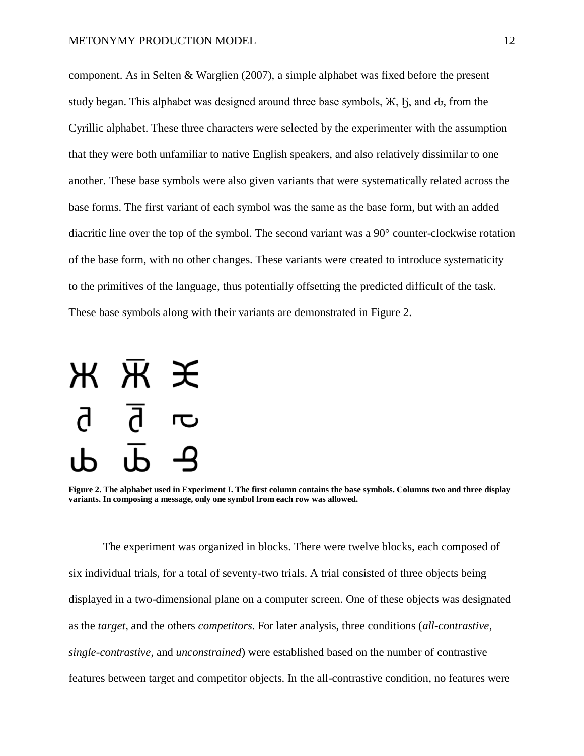component. As in Selten  $& Warglien (2007)$ , a simple alphabet was fixed before the present study began. This alphabet was designed around three base symbols,  $\mathcal{K}$ ,  $\mathcal{F}$ , and  $\mathbf{d}$ , from the Cyrillic alphabet. These three characters were selected by the experimenter with the assumption that they were both unfamiliar to native English speakers, and also relatively dissimilar to one another. These base symbols were also given variants that were systematically related across the base forms. The first variant of each symbol was the same as the base form, but with an added diacritic line over the top of the symbol. The second variant was a 90° counter-clockwise rotation of the base form, with no other changes. These variants were created to introduce systematicity to the primitives of the language, thus potentially offsetting the predicted difficult of the task. These base symbols along with their variants are demonstrated in Figure 2.



**Figure 2. The alphabet used in Experiment I. The first column contains the base symbols. Columns two and three display variants. In composing a message, only one symbol from each row was allowed.**

The experiment was organized in blocks. There were twelve blocks, each composed of six individual trials, for a total of seventy-two trials. A trial consisted of three objects being displayed in a two-dimensional plane on a computer screen. One of these objects was designated as the *target*, and the others *competitors*. For later analysis, three conditions (*all-contrastive*, *single-contrastive*, and *unconstrained*) were established based on the number of contrastive features between target and competitor objects. In the all-contrastive condition, no features were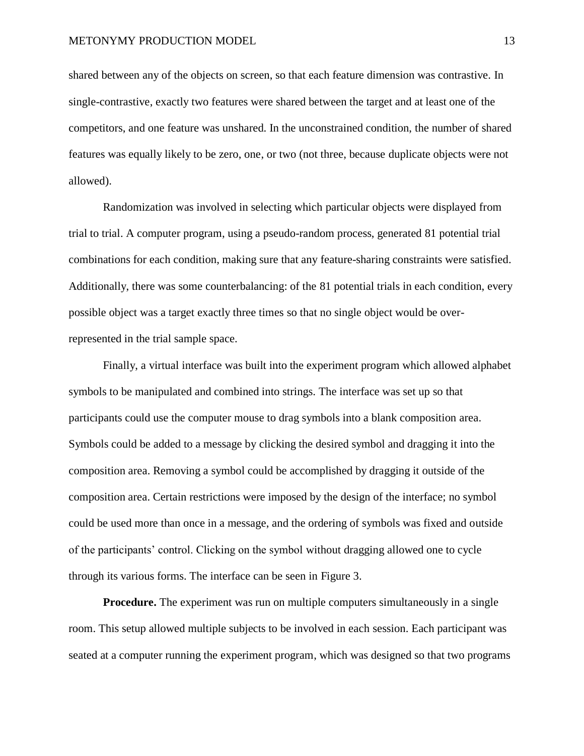shared between any of the objects on screen, so that each feature dimension was contrastive. In single-contrastive, exactly two features were shared between the target and at least one of the competitors, and one feature was unshared. In the unconstrained condition, the number of shared features was equally likely to be zero, one, or two (not three, because duplicate objects were not allowed).

Randomization was involved in selecting which particular objects were displayed from trial to trial. A computer program, using a pseudo-random process, generated 81 potential trial combinations for each condition, making sure that any feature-sharing constraints were satisfied. Additionally, there was some counterbalancing: of the 81 potential trials in each condition, every possible object was a target exactly three times so that no single object would be overrepresented in the trial sample space.

Finally, a virtual interface was built into the experiment program which allowed alphabet symbols to be manipulated and combined into strings. The interface was set up so that participants could use the computer mouse to drag symbols into a blank composition area. Symbols could be added to a message by clicking the desired symbol and dragging it into the composition area. Removing a symbol could be accomplished by dragging it outside of the composition area. Certain restrictions were imposed by the design of the interface; no symbol could be used more than once in a message, and the ordering of symbols was fixed and outside of the participants' control. Clicking on the symbol without dragging allowed one to cycle through its various forms. The interface can be seen in Figure 3.

**Procedure.** The experiment was run on multiple computers simultaneously in a single room. This setup allowed multiple subjects to be involved in each session. Each participant was seated at a computer running the experiment program, which was designed so that two programs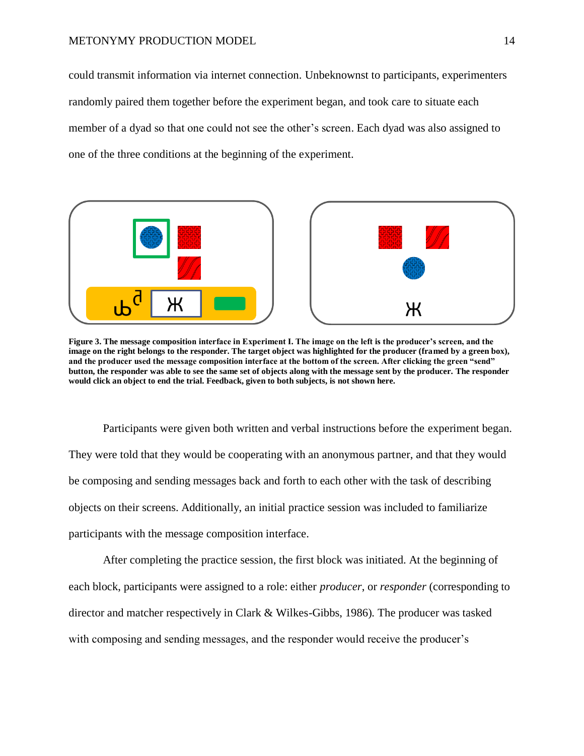could transmit information via internet connection. Unbeknownst to participants, experimenters randomly paired them together before the experiment began, and took care to situate each member of a dyad so that one could not see the other's screen. Each dyad was also assigned to one of the three conditions at the beginning of the experiment.



**Figure 3. The message composition interface in Experiment I. The image on the left is the producer's screen, and the image on the right belongs to the responder. The target object was highlighted for the producer (framed by a green box), and the producer used the message composition interface at the bottom of the screen. After clicking the green "send" button, the responder was able to see the same set of objects along with the message sent by the producer. The responder would click an object to end the trial. Feedback, given to both subjects, is not shown here.**

Participants were given both written and verbal instructions before the experiment began. They were told that they would be cooperating with an anonymous partner, and that they would be composing and sending messages back and forth to each other with the task of describing objects on their screens. Additionally, an initial practice session was included to familiarize participants with the message composition interface.

After completing the practice session, the first block was initiated. At the beginning of each block, participants were assigned to a role: either *producer*, or *responder* (corresponding to director and matcher respectively in Clark & Wilkes-Gibbs, 1986)*.* The producer was tasked with composing and sending messages, and the responder would receive the producer's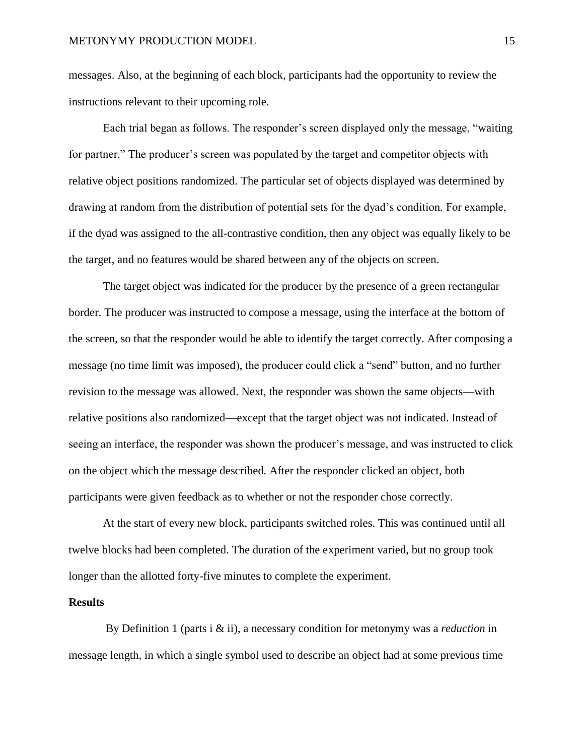messages. Also, at the beginning of each block, participants had the opportunity to review the instructions relevant to their upcoming role.

Each trial began as follows. The responder's screen displayed only the message, "waiting for partner." The producer's screen was populated by the target and competitor objects with relative object positions randomized. The particular set of objects displayed was determined by drawing at random from the distribution of potential sets for the dyad's condition. For example, if the dyad was assigned to the all-contrastive condition, then any object was equally likely to be the target, and no features would be shared between any of the objects on screen.

The target object was indicated for the producer by the presence of a green rectangular border. The producer was instructed to compose a message, using the interface at the bottom of the screen, so that the responder would be able to identify the target correctly. After composing a message (no time limit was imposed), the producer could click a "send" button, and no further revision to the message was allowed. Next, the responder was shown the same objects—with relative positions also randomized—except that the target object was not indicated. Instead of seeing an interface, the responder was shown the producer's message, and was instructed to click on the object which the message described. After the responder clicked an object, both participants were given feedback as to whether or not the responder chose correctly.

At the start of every new block, participants switched roles. This was continued until all twelve blocks had been completed. The duration of the experiment varied, but no group took longer than the allotted forty-five minutes to complete the experiment.

## **Results**

By Definition 1 (parts i & ii), a necessary condition for metonymy was a *reduction* in message length, in which a single symbol used to describe an object had at some previous time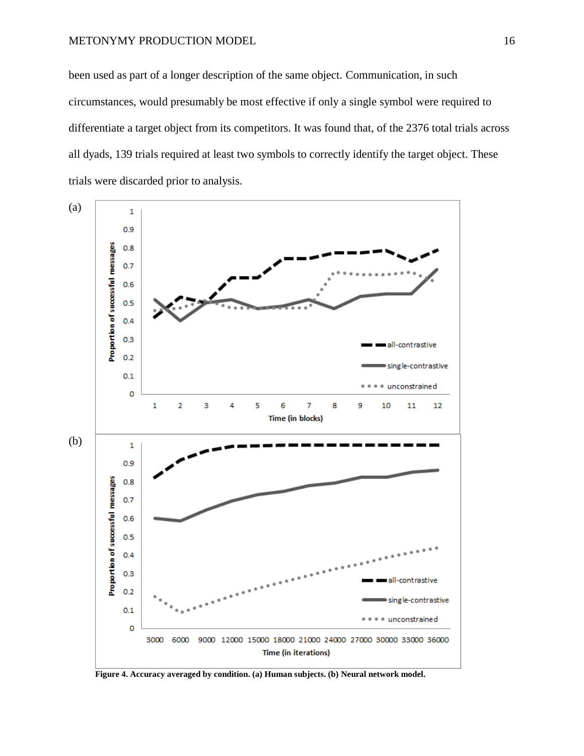#### METONYMY PRODUCTION MODEL 16

been used as part of a longer description of the same object. Communication, in such circumstances, would presumably be most effective if only a single symbol were required to differentiate a target object from its competitors. It was found that, of the 2376 total trials across all dyads, 139 trials required at least two symbols to correctly identify the target object. These trials were discarded prior to analysis.



**Figure 4. Accuracy averaged by condition. (a) Human subjects. (b) Neural network model.**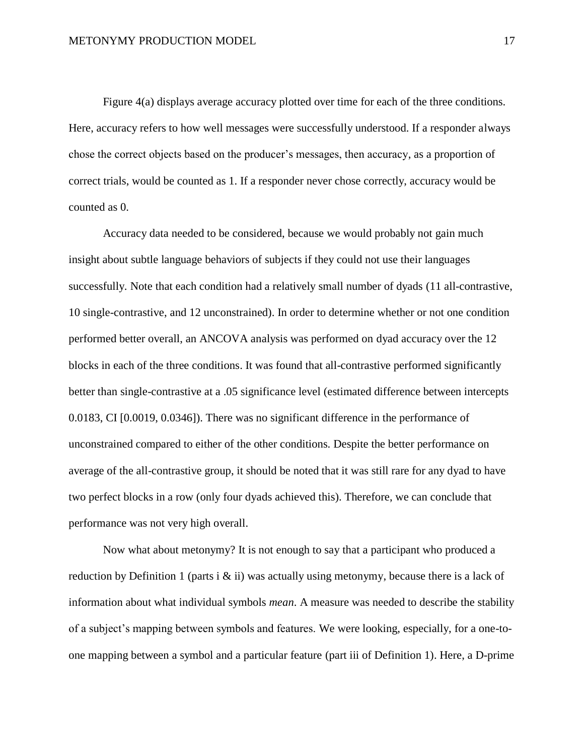Figure 4(a) displays average accuracy plotted over time for each of the three conditions. Here, accuracy refers to how well messages were successfully understood. If a responder always chose the correct objects based on the producer's messages, then accuracy, as a proportion of correct trials, would be counted as 1. If a responder never chose correctly, accuracy would be counted as 0.

Accuracy data needed to be considered, because we would probably not gain much insight about subtle language behaviors of subjects if they could not use their languages successfully. Note that each condition had a relatively small number of dyads (11 all-contrastive, 10 single-contrastive, and 12 unconstrained). In order to determine whether or not one condition performed better overall, an ANCOVA analysis was performed on dyad accuracy over the 12 blocks in each of the three conditions. It was found that all-contrastive performed significantly better than single-contrastive at a .05 significance level (estimated difference between intercepts 0.0183, CI [0.0019, 0.0346]). There was no significant difference in the performance of unconstrained compared to either of the other conditions. Despite the better performance on average of the all-contrastive group, it should be noted that it was still rare for any dyad to have two perfect blocks in a row (only four dyads achieved this). Therefore, we can conclude that performance was not very high overall.

Now what about metonymy? It is not enough to say that a participant who produced a reduction by Definition 1 (parts i  $\&$  ii) was actually using metonymy, because there is a lack of information about what individual symbols *mean*. A measure was needed to describe the stability of a subject's mapping between symbols and features. We were looking, especially, for a one-toone mapping between a symbol and a particular feature (part iii of Definition 1). Here, a D-prime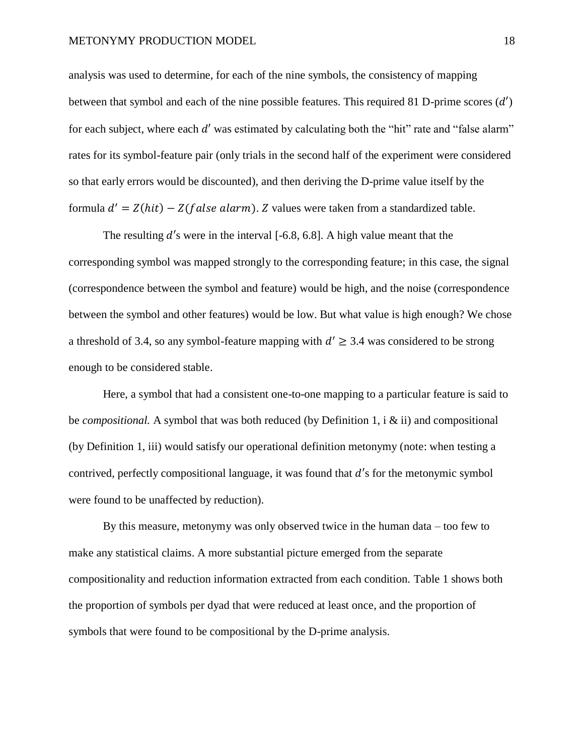analysis was used to determine, for each of the nine symbols, the consistency of mapping between that symbol and each of the nine possible features. This required 81 D-prime scores  $(d')$ for each subject, where each  $d'$  was estimated by calculating both the "hit" rate and "false alarm" rates for its symbol-feature pair (only trials in the second half of the experiment were considered so that early errors would be discounted), and then deriving the D-prime value itself by the formula  $d' = Z(hit) - Z(false~alarm)$ . Z values were taken from a standardized table.

The resulting  $d'$ s were in the interval [-6.8, 6.8]. A high value meant that the corresponding symbol was mapped strongly to the corresponding feature; in this case, the signal (correspondence between the symbol and feature) would be high, and the noise (correspondence between the symbol and other features) would be low. But what value is high enough? We chose a threshold of 3.4, so any symbol-feature mapping with  $d' \geq 3.4$  was considered to be strong enough to be considered stable.

Here, a symbol that had a consistent one-to-one mapping to a particular feature is said to be *compositional.* A symbol that was both reduced (by Definition 1, i & ii) and compositional (by Definition 1, iii) would satisfy our operational definition metonymy (note: when testing a contrived, perfectly compositional language, it was found that  $d'$ s for the metonymic symbol were found to be unaffected by reduction).

By this measure, metonymy was only observed twice in the human data – too few to make any statistical claims. A more substantial picture emerged from the separate compositionality and reduction information extracted from each condition. Table 1 shows both the proportion of symbols per dyad that were reduced at least once, and the proportion of symbols that were found to be compositional by the D-prime analysis.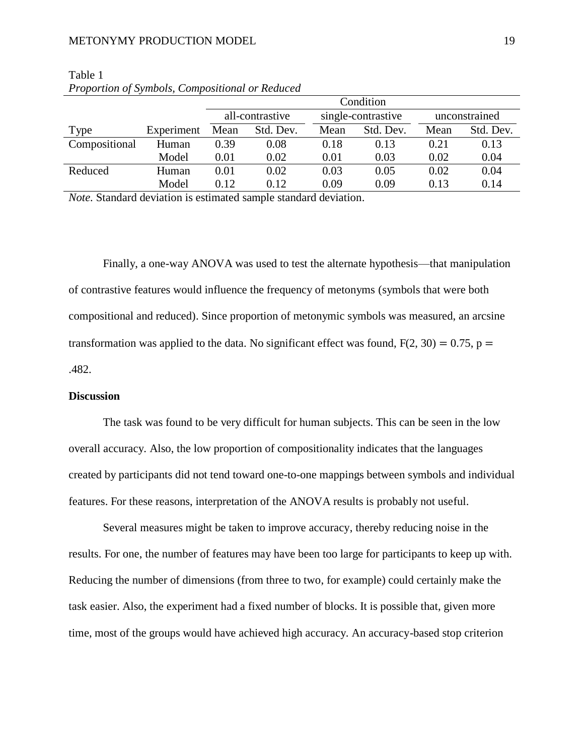#### METONYMY PRODUCTION MODEL 19

|               |            | Condition       |           |                    |           |               |           |
|---------------|------------|-----------------|-----------|--------------------|-----------|---------------|-----------|
|               |            | all-contrastive |           | single-contrastive |           | unconstrained |           |
| Type          | Experiment | Mean            | Std. Dev. | Mean               | Std. Dev. | Mean          | Std. Dev. |
| Compositional | Human      | 0.39            | 0.08      | 0.18               | 0.13      | 0.21          | 0.13      |
|               | Model      | 0.01            | 0.02      | 0.01               | 0.03      | 0.02          | 0.04      |
| Reduced       | Human      | 0.01            | 0.02      | 0.03               | 0.05      | 0.02          | 0.04      |
|               | Model      | 0.12            | 0.12      | 0.09               | 0.09      | 0.13          | 0.14      |

Table 1 *Proportion of Symbols, Compositional or Reduced*

*Note.* Standard deviation is estimated sample standard deviation.

Finally, a one-way ANOVA was used to test the alternate hypothesis—that manipulation of contrastive features would influence the frequency of metonyms (symbols that were both compositional and reduced). Since proportion of metonymic symbols was measured, an arcsine transformation was applied to the data. No significant effect was found,  $F(2, 30) = 0.75$ , p = .482.

## **Discussion**

The task was found to be very difficult for human subjects. This can be seen in the low overall accuracy. Also, the low proportion of compositionality indicates that the languages created by participants did not tend toward one-to-one mappings between symbols and individual features. For these reasons, interpretation of the ANOVA results is probably not useful.

Several measures might be taken to improve accuracy, thereby reducing noise in the results. For one, the number of features may have been too large for participants to keep up with. Reducing the number of dimensions (from three to two, for example) could certainly make the task easier. Also, the experiment had a fixed number of blocks. It is possible that, given more time, most of the groups would have achieved high accuracy. An accuracy-based stop criterion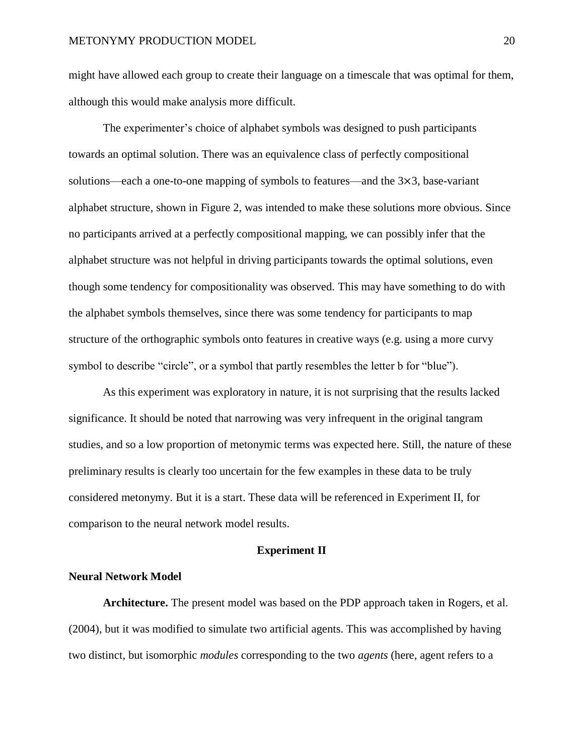might have allowed each group to create their language on a timescale that was optimal for them, although this would make analysis more difficult.

The experimenter's choice of alphabet symbols was designed to push participants towards an optimal solution. There was an equivalence class of perfectly compositional solutions—each a one-to-one mapping of symbols to features—and the  $3\times3$ , base-variant alphabet structure, shown in Figure 2, was intended to make these solutions more obvious. Since no participants arrived at a perfectly compositional mapping, we can possibly infer that the alphabet structure was not helpful in driving participants towards the optimal solutions, even though some tendency for compositionality was observed. This may have something to do with the alphabet symbols themselves, since there was some tendency for participants to map structure of the orthographic symbols onto features in creative ways (e.g. using a more curvy symbol to describe "circle", or a symbol that partly resembles the letter b for "blue").

As this experiment was exploratory in nature, it is not surprising that the results lacked significance. It should be noted that narrowing was very infrequent in the original tangram studies, and so a low proportion of metonymic terms was expected here. Still, the nature of these preliminary results is clearly too uncertain for the few examples in these data to be truly considered metonymy. But it is a start. These data will be referenced in Experiment II, for comparison to the neural network model results.

## **Experiment II**

## **Neural Network Model**

**Architecture.** The present model was based on the PDP approach taken in Rogers, et al. (2004), but it was modified to simulate two artificial agents. This was accomplished by having two distinct, but isomorphic *modules* corresponding to the two *agents* (here, agent refers to a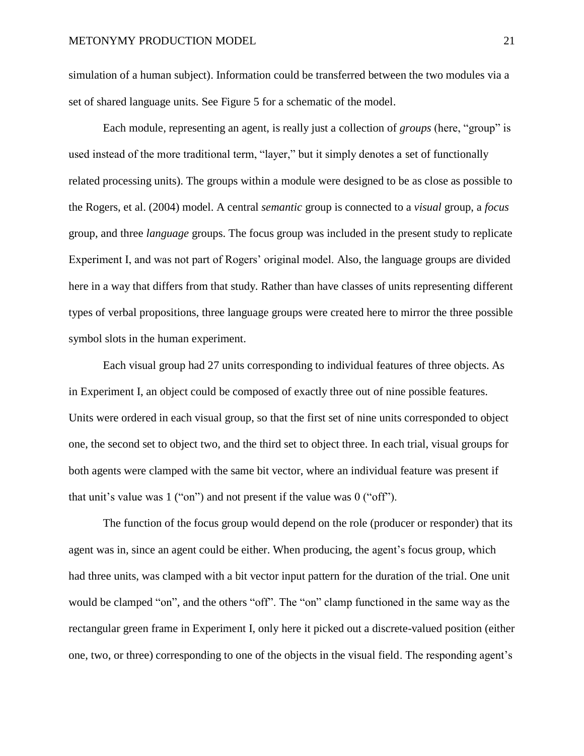simulation of a human subject). Information could be transferred between the two modules via a set of shared language units. See Figure 5 for a schematic of the model.

Each module, representing an agent, is really just a collection of *groups* (here, "group" is used instead of the more traditional term, "layer," but it simply denotes a set of functionally related processing units). The groups within a module were designed to be as close as possible to the Rogers, et al. (2004) model. A central *semantic* group is connected to a *visual* group, a *focus* group, and three *language* groups. The focus group was included in the present study to replicate Experiment I, and was not part of Rogers' original model. Also, the language groups are divided here in a way that differs from that study. Rather than have classes of units representing different types of verbal propositions, three language groups were created here to mirror the three possible symbol slots in the human experiment.

Each visual group had 27 units corresponding to individual features of three objects. As in Experiment I, an object could be composed of exactly three out of nine possible features. Units were ordered in each visual group, so that the first set of nine units corresponded to object one, the second set to object two, and the third set to object three. In each trial, visual groups for both agents were clamped with the same bit vector, where an individual feature was present if that unit's value was 1 ("on") and not present if the value was 0 ("off").

The function of the focus group would depend on the role (producer or responder) that its agent was in, since an agent could be either. When producing, the agent's focus group, which had three units, was clamped with a bit vector input pattern for the duration of the trial. One unit would be clamped "on", and the others "off". The "on" clamp functioned in the same way as the rectangular green frame in Experiment I, only here it picked out a discrete-valued position (either one, two, or three) corresponding to one of the objects in the visual field. The responding agent's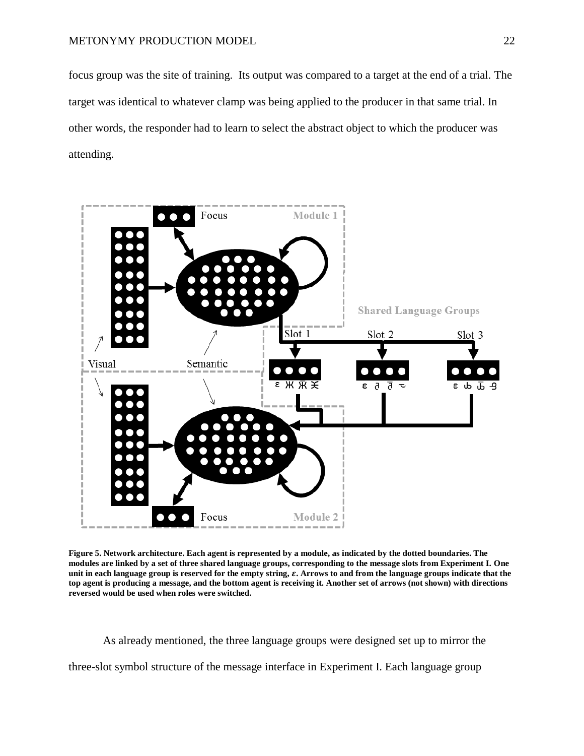focus group was the site of training. Its output was compared to a target at the end of a trial. The target was identical to whatever clamp was being applied to the producer in that same trial. In other words, the responder had to learn to select the abstract object to which the producer was attending.



**Figure 5. Network architecture. Each agent is represented by a module, as indicated by the dotted boundaries. The modules are linked by a set of three shared language groups, corresponding to the message slots from Experiment I. One**  unit in each language group is reserved for the empty string,  $\varepsilon$ . Arrows to and from the language groups indicate that the **top agent is producing a message, and the bottom agent is receiving it. Another set of arrows (not shown) with directions reversed would be used when roles were switched.**

As already mentioned, the three language groups were designed set up to mirror the three-slot symbol structure of the message interface in Experiment I. Each language group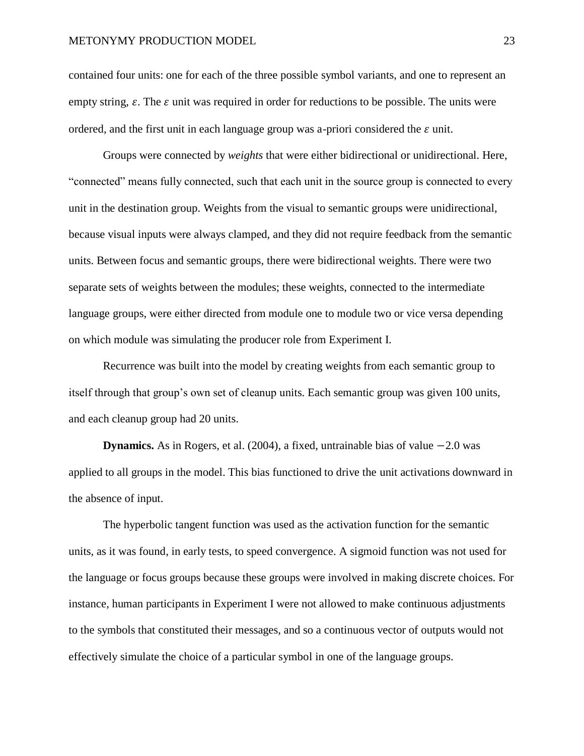contained four units: one for each of the three possible symbol variants, and one to represent an empty string,  $\varepsilon$ . The  $\varepsilon$  unit was required in order for reductions to be possible. The units were ordered, and the first unit in each language group was a-priori considered the  $\varepsilon$  unit.

Groups were connected by *weights* that were either bidirectional or unidirectional. Here, "connected" means fully connected, such that each unit in the source group is connected to every unit in the destination group. Weights from the visual to semantic groups were unidirectional, because visual inputs were always clamped, and they did not require feedback from the semantic units. Between focus and semantic groups, there were bidirectional weights. There were two separate sets of weights between the modules; these weights, connected to the intermediate language groups, were either directed from module one to module two or vice versa depending on which module was simulating the producer role from Experiment I.

Recurrence was built into the model by creating weights from each semantic group to itself through that group's own set of cleanup units. Each semantic group was given 100 units, and each cleanup group had 20 units.

**Dynamics.** As in Rogers, et al.  $(2004)$ , a fixed, untrainable bias of value  $-2.0$  was applied to all groups in the model. This bias functioned to drive the unit activations downward in the absence of input.

The hyperbolic tangent function was used as the activation function for the semantic units, as it was found, in early tests, to speed convergence. A sigmoid function was not used for the language or focus groups because these groups were involved in making discrete choices. For instance, human participants in Experiment I were not allowed to make continuous adjustments to the symbols that constituted their messages, and so a continuous vector of outputs would not effectively simulate the choice of a particular symbol in one of the language groups.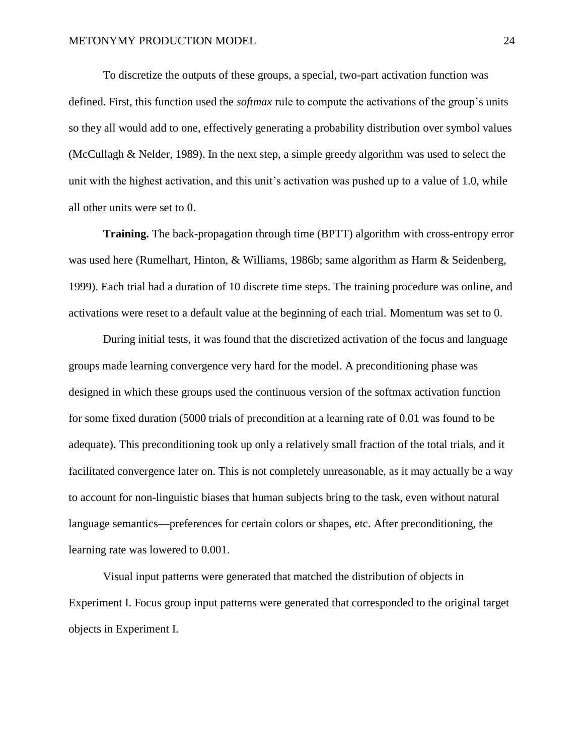To discretize the outputs of these groups, a special, two-part activation function was defined. First, this function used the *softmax* rule to compute the activations of the group's units so they all would add to one, effectively generating a probability distribution over symbol values (McCullagh & Nelder, 1989). In the next step, a simple greedy algorithm was used to select the unit with the highest activation, and this unit's activation was pushed up to a value of 1.0, while all other units were set to 0.

**Training.** The back-propagation through time (BPTT) algorithm with cross-entropy error was used here (Rumelhart, Hinton, & Williams, 1986b; same algorithm as Harm & Seidenberg, 1999). Each trial had a duration of 10 discrete time steps. The training procedure was online, and activations were reset to a default value at the beginning of each trial. Momentum was set to 0.

During initial tests, it was found that the discretized activation of the focus and language groups made learning convergence very hard for the model. A preconditioning phase was designed in which these groups used the continuous version of the softmax activation function for some fixed duration (5000 trials of precondition at a learning rate of 0.01 was found to be adequate). This preconditioning took up only a relatively small fraction of the total trials, and it facilitated convergence later on. This is not completely unreasonable, as it may actually be a way to account for non-linguistic biases that human subjects bring to the task, even without natural language semantics—preferences for certain colors or shapes, etc. After preconditioning, the learning rate was lowered to 0.001.

Visual input patterns were generated that matched the distribution of objects in Experiment I. Focus group input patterns were generated that corresponded to the original target objects in Experiment I.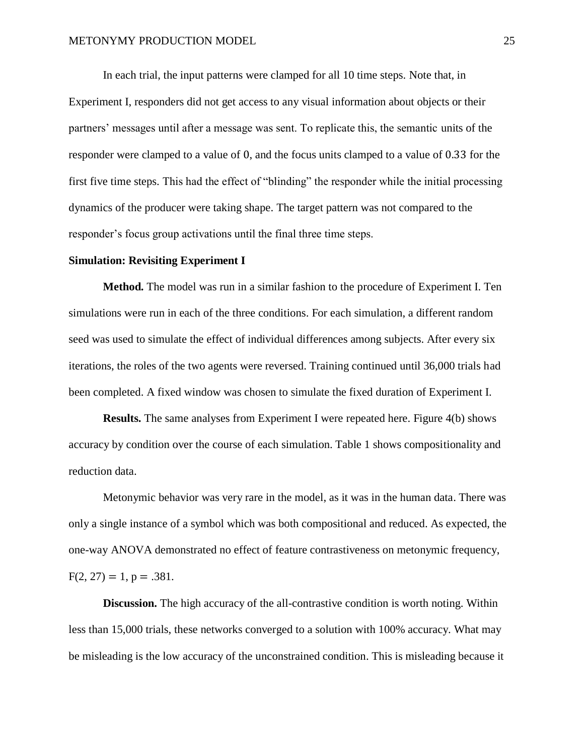In each trial, the input patterns were clamped for all 10 time steps. Note that, in Experiment I, responders did not get access to any visual information about objects or their partners' messages until after a message was sent. To replicate this, the semantic units of the responder were clamped to a value of 0, and the focus units clamped to a value of 0.33 for the first five time steps. This had the effect of "blinding" the responder while the initial processing dynamics of the producer were taking shape. The target pattern was not compared to the responder's focus group activations until the final three time steps.

## **Simulation: Revisiting Experiment I**

**Method.** The model was run in a similar fashion to the procedure of Experiment I. Ten simulations were run in each of the three conditions. For each simulation, a different random seed was used to simulate the effect of individual differences among subjects. After every six iterations, the roles of the two agents were reversed. Training continued until 36,000 trials had been completed. A fixed window was chosen to simulate the fixed duration of Experiment I.

**Results.** The same analyses from Experiment I were repeated here. Figure 4(b) shows accuracy by condition over the course of each simulation. Table 1 shows compositionality and reduction data.

Metonymic behavior was very rare in the model, as it was in the human data. There was only a single instance of a symbol which was both compositional and reduced. As expected, the one-way ANOVA demonstrated no effect of feature contrastiveness on metonymic frequency,  $F(2, 27) = 1$ ,  $p = .381$ .

**Discussion.** The high accuracy of the all-contrastive condition is worth noting. Within less than 15,000 trials, these networks converged to a solution with 100% accuracy. What may be misleading is the low accuracy of the unconstrained condition. This is misleading because it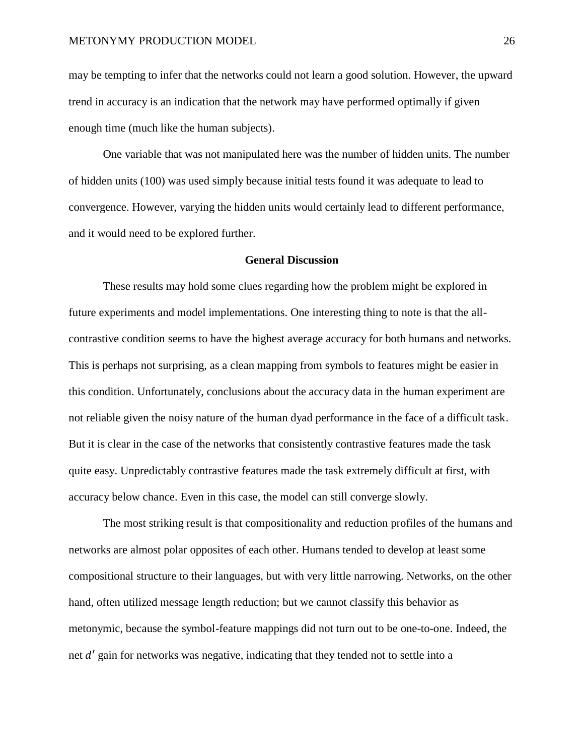may be tempting to infer that the networks could not learn a good solution. However, the upward trend in accuracy is an indication that the network may have performed optimally if given enough time (much like the human subjects).

One variable that was not manipulated here was the number of hidden units. The number of hidden units (100) was used simply because initial tests found it was adequate to lead to convergence. However, varying the hidden units would certainly lead to different performance, and it would need to be explored further.

## **General Discussion**

These results may hold some clues regarding how the problem might be explored in future experiments and model implementations. One interesting thing to note is that the allcontrastive condition seems to have the highest average accuracy for both humans and networks. This is perhaps not surprising, as a clean mapping from symbols to features might be easier in this condition. Unfortunately, conclusions about the accuracy data in the human experiment are not reliable given the noisy nature of the human dyad performance in the face of a difficult task. But it is clear in the case of the networks that consistently contrastive features made the task quite easy. Unpredictably contrastive features made the task extremely difficult at first, with accuracy below chance. Even in this case, the model can still converge slowly.

The most striking result is that compositionality and reduction profiles of the humans and networks are almost polar opposites of each other. Humans tended to develop at least some compositional structure to their languages, but with very little narrowing. Networks, on the other hand, often utilized message length reduction; but we cannot classify this behavior as metonymic, because the symbol-feature mappings did not turn out to be one-to-one. Indeed, the net  $d'$  gain for networks was negative, indicating that they tended not to settle into a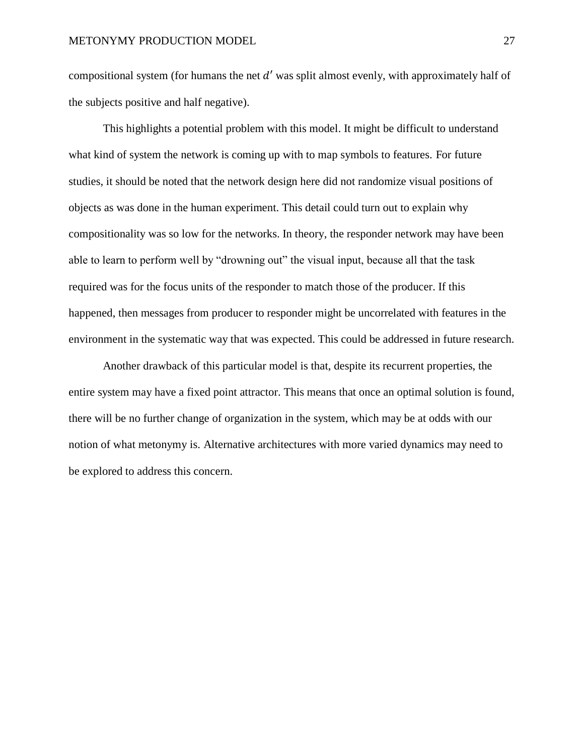compositional system (for humans the net  $d'$  was split almost evenly, with approximately half of the subjects positive and half negative).

This highlights a potential problem with this model. It might be difficult to understand what kind of system the network is coming up with to map symbols to features. For future studies, it should be noted that the network design here did not randomize visual positions of objects as was done in the human experiment. This detail could turn out to explain why compositionality was so low for the networks. In theory, the responder network may have been able to learn to perform well by "drowning out" the visual input, because all that the task required was for the focus units of the responder to match those of the producer. If this happened, then messages from producer to responder might be uncorrelated with features in the environment in the systematic way that was expected. This could be addressed in future research.

Another drawback of this particular model is that, despite its recurrent properties, the entire system may have a fixed point attractor. This means that once an optimal solution is found, there will be no further change of organization in the system, which may be at odds with our notion of what metonymy is. Alternative architectures with more varied dynamics may need to be explored to address this concern.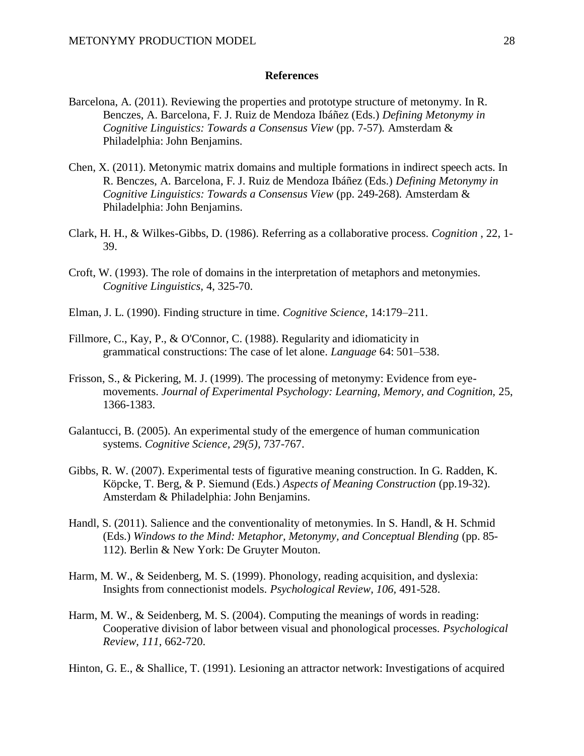## **References**

- Barcelona, A. (2011). Reviewing the properties and prototype structure of metonymy. In R. Benczes, A. Barcelona, F. J. Ruiz de Mendoza Ibáñez (Eds.) *Defining Metonymy in Cognitive Linguistics: Towards a Consensus View (pp. 7-57). Amsterdam &* Philadelphia: John Benjamins.
- Chen, X. (2011). Metonymic matrix domains and multiple formations in indirect speech acts. In R. Benczes, A. Barcelona, F. J. Ruiz de Mendoza Ibáñez (Eds.) *Defining Metonymy in Cognitive Linguistics: Towards a Consensus View* (pp. 249-268)*.* Amsterdam & Philadelphia: John Benjamins.
- Clark, H. H., & Wilkes-Gibbs, D. (1986). Referring as a collaborative process. *Cognition* , 22, 1- 39.
- Croft, W. (1993). The role of domains in the interpretation of metaphors and metonymies. *Cognitive Linguistics,* 4, 325-70.
- Elman, J. L. (1990). Finding structure in time. *Cognitive Science*, 14:179–211.
- Fillmore, C., Kay, P., & O'Connor, C. (1988). Regularity and idiomaticity in grammatical constructions: The case of let alone. *Language* 64: 501–538.
- Frisson, S., & Pickering, M. J. (1999). The processing of metonymy: Evidence from eyemovements. *Journal of Experimental Psychology: Learning, Memory, and Cognition, 25,* 1366-1383.
- Galantucci, B. (2005). An experimental study of the emergence of human communication systems. *Cognitive Science, 29(5),* 737-767.
- Gibbs, R. W. (2007). Experimental tests of figurative meaning construction. In G. Radden, K. Köpcke, T. Berg, & P. Siemund (Eds.) *Aspects of Meaning Construction* (pp.19-32). Amsterdam & Philadelphia: John Benjamins.
- Handl, S. (2011). Salience and the conventionality of metonymies. In S. Handl, & H. Schmid (Eds.) *Windows to the Mind: Metaphor, Metonymy, and Conceptual Blending* (pp. 85-112). Berlin & New York: De Gruyter Mouton.
- Harm, M. W., & Seidenberg, M. S. (1999). Phonology, reading acquisition, and dyslexia: Insights from connectionist models. *Psychological Review, 106,* 491-528.
- Harm, M. W., & Seidenberg, M. S. (2004). Computing the meanings of words in reading: Cooperative division of labor between visual and phonological processes. *Psychological Review, 111,* 662-720.
- Hinton, G. E., & Shallice, T. (1991). Lesioning an attractor network: Investigations of acquired